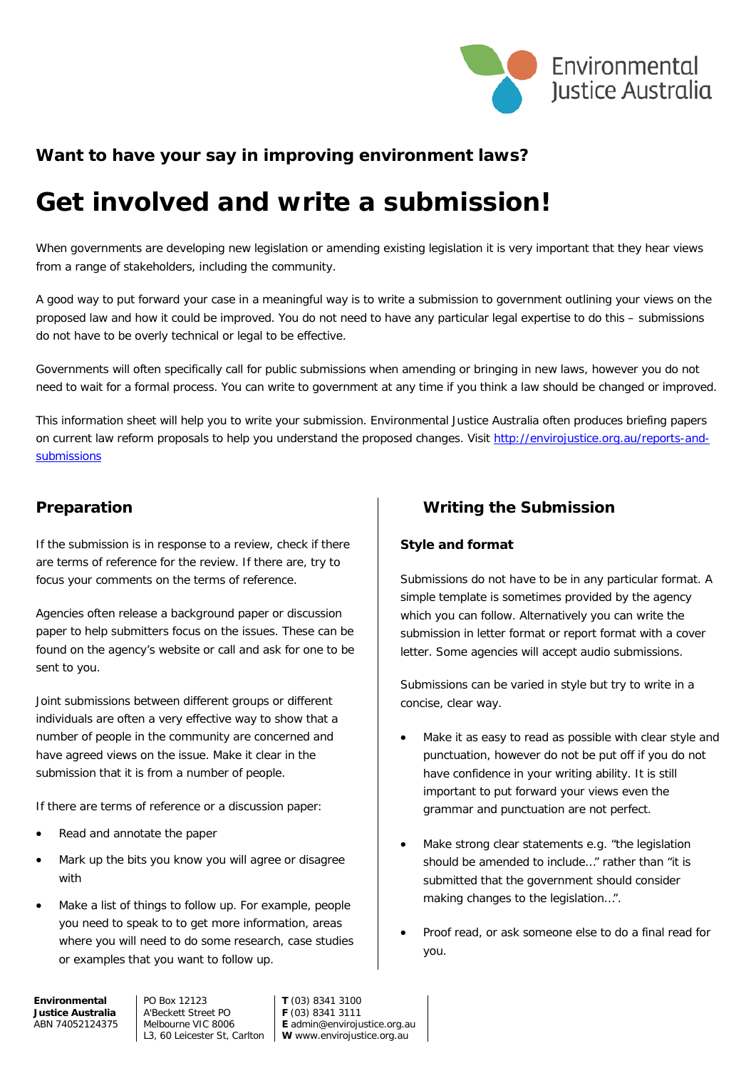

# **Want to have your say in improving environment laws?**

# **Get involved and write a submission!**

When governments are developing new legislation or amending existing legislation it is very important that they hear views from a range of stakeholders, including the community.

A good way to put forward your case in a meaningful way is to write a submission to government outlining your views on the proposed law and how it could be improved. You do not need to have any particular legal expertise to do this – submissions do not have to be overly technical or legal to be effective.

Governments will often specifically call for public submissions when amending or bringing in new laws, however you do not need to wait for a formal process. You can write to government at any time if you think a law should be changed or improved.

This information sheet will help you to write your submission. Environmental Justice Australia often produces briefing papers on current law reform proposals to help you understand the proposed changes. Visit [http://envirojustice.org.au/reports-and](http://envirojustice.org.au/reports-and-submissions)[submissions](http://envirojustice.org.au/reports-and-submissions)

# **Preparation**

If the submission is in response to a review, check if there are terms of reference for the review. If there are, try to focus your comments on the terms of reference.

Agencies often release a background paper or discussion paper to help submitters focus on the issues. These can be found on the agency's website or call and ask for one to be sent to you.

Joint submissions between different groups or different individuals are often a very effective way to show that a number of people in the community are concerned and have agreed views on the issue. Make it clear in the submission that it is from a number of people.

If there are terms of reference or a discussion paper:

- Read and annotate the paper
- Mark up the bits you know you will agree or disagree with
- Make a list of things to follow up. For example, people you need to speak to to get more information, areas where you will need to do some research, case studies or examples that you want to follow up.

# **Writing the Submission**

#### **Style and format**

Submissions do not have to be in any particular format. A simple template is sometimes provided by the agency which you can follow. Alternatively you can write the submission in letter format or report format with a cover letter. Some agencies will accept audio submissions.

Submissions can be varied in style but try to write in a concise, clear way.

- Make it as easy to read as possible with clear style and punctuation, however do not be put off if you do not have confidence in your writing ability. It is still important to put forward your views even the grammar and punctuation are not perfect.
- Make strong clear statements e.g. "the legislation should be amended to include…" rather than "it is submitted that the government should consider making changes to the legislation…".
- Proof read, or ask someone else to do a final read for you.

**Environmental Justice Australia** ABN 74052124375 PO Box 12123 A'Beckett Street PO Melbourne VIC 8006

L3, 60 Leicester St, Carlton **W** www.envirojustice.org.au **T** (03) 8341 3100 **F** (03) 8341 3111 **E** admin@envirojustice.org.au